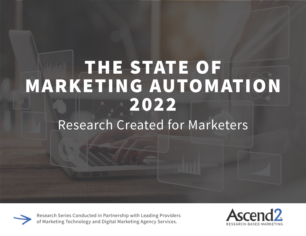# THE STATE OF MARKETING AUTOMATION 2022 Research Created for Marketers



Research Series Conducted in Partnership with Leading Providers of Marketing Technology and Digital Marketing Agency Services.

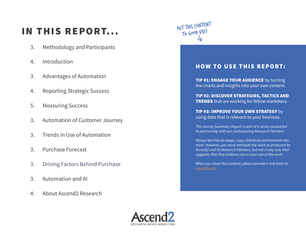### IN THIS REPORT...

- 3. Methodology and Participants
- 4. Introduction
- 3. Advantages of Automation
- 4. Reporting Strategic Success
- 5. Measuring Success
- 3. Automation of Customer Journey
- 3. Trends in Use of Automation
- 3. Purchase Forecast
- 3. Driving Factors Behind Purchase
- 3. Automation and AI
- 4. About Ascend2 Research



#### HOW TO USE THIS REPORT:

**TIP #1: ENGAGE YOUR AUDIENCE** by turning the charts and insights into your own content.

TIP #2: DISCOVER STRATEGIES, TACTICS AND **TRENDS** that are working for fellow marketers.

TIP #3: IMPROVE YOUR OWN STRATEGY by using data that is relevant to your business.

*This Survey Summary Report is part of a series conducted in partnership with our participating Research Partners.*

*Please feel free to adapt, copy, distribute and transmit this work. However, you must attribute the work as produced by Ascend2 and its Research Partners, but not in any way that suggests that they endorse you or your use of the work.*

*When you share this content, please provide a link back to [ascend2.com](http://ascend2.com/)*

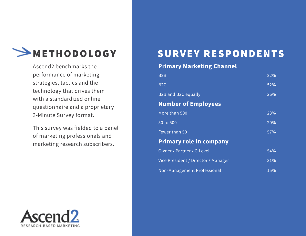

Ascend2 benchmarks the performance of marketing strategies, tactics and the technology that drives them with a standardized online questionnaire and a proprietary 3-Minute Survey format.

This survey was fielded to a panel of marketing professionals and marketing research subscribers.

# METHODOLOGY SURVEY RESPONDENTS

#### **Primary Marketing Channel**

| B <sub>2</sub> B                    | 22% |
|-------------------------------------|-----|
| B <sub>2</sub> C                    | 52% |
| <b>B2B and B2C equally</b>          | 26% |
| <b>Number of Employees</b>          |     |
| More than 500                       | 23% |
| 50 to 500                           | 20% |
| Fewer than 50                       | 57% |
| <b>Primary role in company</b>      |     |
| Owner / Partner / C-Level           | 54% |
| Vice President / Director / Manager | 31% |
| Non-Management Professional         | 15% |

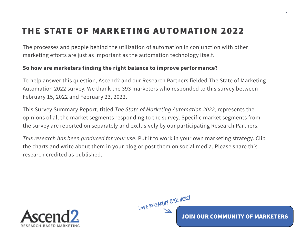### THE STATE OF MARKETING AUTOMATION 2022

The processes and people behind the utilization of automation in conjunction with other marketing efforts are just as important as the automation technology itself.

#### **So how are marketers finding the right balance to improve performance?**

To help answer this question, Ascend2 and our Research Partners fielded The State of Marketing Automation 2022 survey. We thank the 393 marketers who responded to this survey between February 15, 2022 and February 23, 2022.

This Survey Summary Report, titled *The State of Marketing Automation 2022,* represents the opinions of all the market segments responding to the survey. Specific market segments from the survey are reported on separately and exclusively by our participating Research Partners.

*This research has been produced for your use.* Put it to work in your own marketing strategy. Clip the charts and write about them in your blog or post them on social media. Please share this research credited as published.





JOIN OUR COMMUNITY OF MARKETERS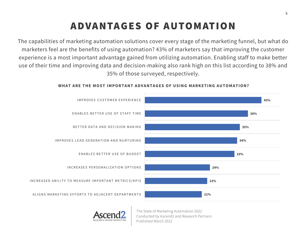# ADVANTAGES OF AUTOMATION

The capabilities of marketing automation solutions cover every stage of the marketing funnel, but what do marketers feel are the benefits of using automation? 43% of marketers say that improving the customer experience is a most important advantage gained from utilizing automation. Enabling staff to make better use of their time and improving data and decision-making also rank high on this list according to 38% and 35% of those surveyed, respectively.



#### **WHAT ARE THE MOST IMPORTANT ADVANTAGES OF USING MARKETING AUTOMATION?**

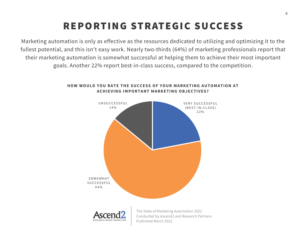### REPORTING STRATEGIC SUCCESS

Marketing automation is only as effective as the resources dedicated to utilizing and optimizing it to the fullest potential, and this isn't easy work. Nearly two-thirds (64%) of marketing professionals report that their marketing automation is somewhat successful at helping them to achieve their most important goals. Another 22% report best-in-class success, compared to the competition.



#### **HOW WOULD YOU RATE THE SUCCESS OF YOUR MARKETING AUTOMATION AT ACHIEVING IMPORTANT MARKETING OBJECTIVES?**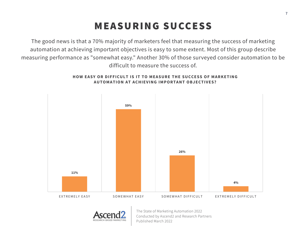### MEASURING SUCCESS

The good news is that a 70% majority of marketers feel that measuring the success of marketing automation at achieving important objectives is easy to some extent. Most of this group describe measuring performance as "somewhat easy." Another 30% of those surveyed consider automation to be difficult to measure the success of.



#### **HOW EASY OR DIFFICULT IS IT TO MEASURE THE SUCCESS OF MARKETING AUTOMATION AT ACHIEVING IMPORTANT OBJECTIVES?**

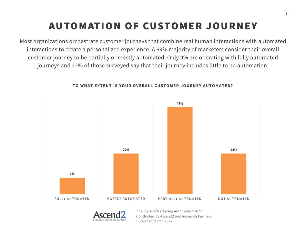# AUTOMATION OF CUSTOMER JOURNEY

Most organizations orchestrate customer journeys that combine real human interactions with automated interactions to create a personalized experience. A 69% majority of marketers consider their overall customer journey to be partially or mostly automated. Only 9% are operating with fully automated journeys and 22% of those surveyed say that their journey includes little to no automation.



#### **TO WHAT EXTENT IS YOUR OVERALL CUSTOMER JOURNEY AUTOMATED?**

Conducted by Ascend2 and Research Partners Published March 2022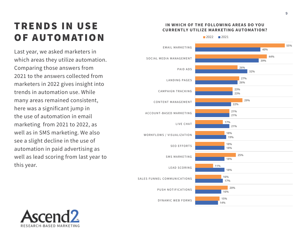### **TRENDS IN USE** OF AUTOMATION

Last year, we asked marketers in which areas they utilize automation. Comparing those answers from 2021 to the answers collected from marketers in 2022 gives insight into trends in automation use. While many areas remained consistent, here was a significant jump in the use of automation in email marketing from 2021 to 2022, as well as in SMS marketing. We also see a slight decline in the use of automation in paid advertising as well as lead scoring from last year to this year.

#### **14% 16% 17% 18% 18% 18% 19% 21% 21% 22% 23% 26% 32% 39% 40% 15% 20% 16% 11% 25% 18% 18% 17% 21% 29% 23% 27% 26% 44% 55%** DYNAMIC WEB FORMS PUSH NOTIFICATIONS SALES FUNNEL COMMUNICATIONS LEAD SCORING SMS MARKETING SEO EFFORTS WORKFLOWS / VISUALIZATION LIVE CHAT ACCOUNT-BASED MARKETING CONTENT MANAGEMENT CAMPAIGN TRACKING LANDING PAGES PAID ADS SOCIAL MEDIA MANAGEMENT EMAIL MARKETING



 $2022$  2021

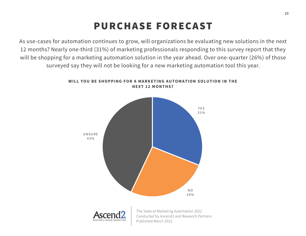### PURCHASE FORECAST

As use-cases for automation continues to grow, will organizations be evaluating new solutions in the next 12 months? Nearly one-third (31%) of marketing professionals responding to this survey report that they will be shopping for a marketing automation solution in the year ahead. Over one-quarter (26%) of those surveyed say they will not be looking for a new marketing automation tool this year.



#### **WILL YOU BE SHOPPING FOR A MARKETING AUTOMATION SOLUTION IN THE NEXT 12 MONTHS?**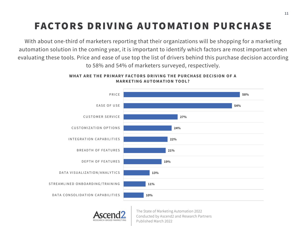# FACTORS DRIVING AUTOMATION PURCHASE

With about one-third of marketers reporting that their organizations will be shopping for a marketing automation solution in the coming year, it is important to identify which factors are most important when evaluating these tools. Price and ease of use top the list of drivers behind this purchase decision according to 58% and 54% of marketers surveyed, respectively.



#### **WHAT ARE THE PRIMARY FACTORS DRIVING THE PURCHASE DECISION OF A MARKETING AUTOMATION TOOL?**

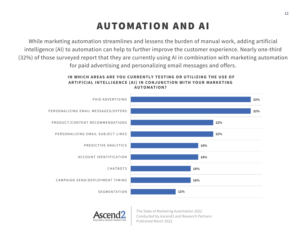### AUTOMATION AND AI

While marketing automation streamlines and lessens the burden of manual work, adding artificial intelligence (AI) to automation can help to further improve the customer experience. Nearly one-third (32%) of those surveyed report that they are currently using AI in combination with marketing automation for paid advertising and personalizing email messages and offers.

#### **IN WHICH AREAS ARE YOU CURRENTLY TESTING OR UTILIZING THE USE OF ARTIFICIAL INTELLIGENCE (AI) IN CONJUNCTION WITH YOUR MARKETING AUTOMATION?**



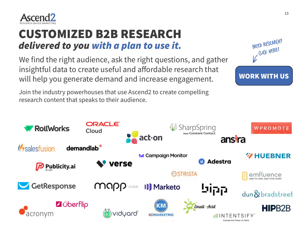

### CUSTOMIZED B2B RESEARCH *delivered to you with a plan to use it.* We are the MEED RESEARCH?

We find the right audience, ask the right questions, and gather insightful data to create useful and affordable research that will help you generate demand and increase engagement.

Join the industry powerhouses that use Ascend2 to create compelling research content that speaks to their audience.